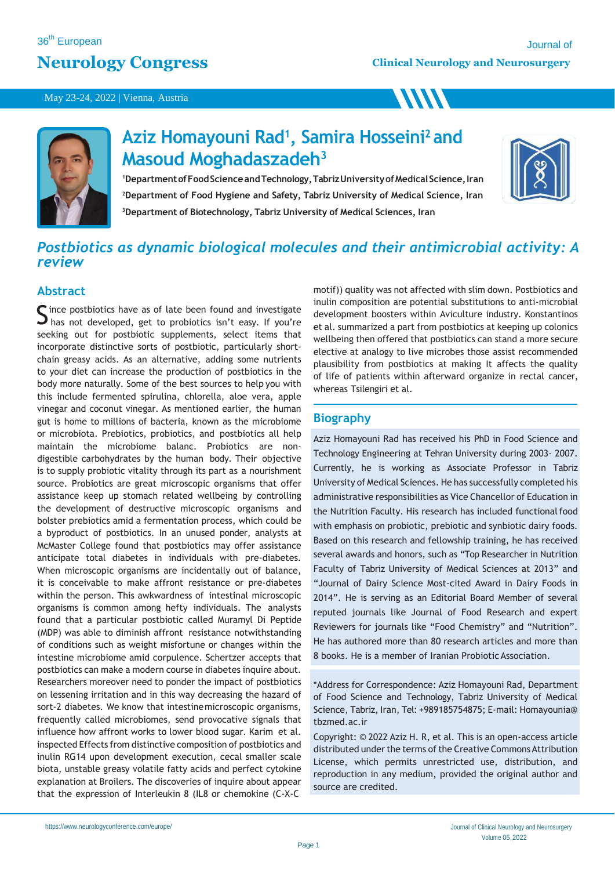# **Neurology Congress**

**WW** 

#### May 23-24, 2022 | Vienna, Austria



# **Aziz Homayouni Rad<sup>1</sup> , Samira Hosseini<sup>2</sup>and Masoud Moghadaszadeh<sup>3</sup>**

<sup>1</sup>Department of Food Science and Technology, Tabriz University of Medical Science, Iran **<sup>2</sup>Department of Food Hygiene and Safety, Tabriz University of Medical Science, Iran <sup>3</sup>Department of Biotechnology, Tabriz University of Medical Sciences, Iran**



# *Postbiotics as dynamic biological molecules and their antimicrobial activity: A review*

## **Abstract**

Since postbiotics have as of late been found and investigate<br>S has not developed, get to probiotics isn't easy. If you're  $\Box$  has not developed, get to probiotics isn't easy. If you're seeking out for postbiotic supplements, select items that incorporate distinctive sorts of postbiotic, particularly shortchain greasy acids. As an alternative, adding some nutrients to your diet can increase the production of postbiotics in the body more naturally. Some of the best sources to help you with this include fermented spirulina, chlorella, aloe vera, apple vinegar and coconut vinegar. As mentioned earlier, the human gut is home to millions of bacteria, known as the microbiome or microbiota. Prebiotics, probiotics, and postbiotics all help maintain the microbiome balanc. Probiotics are nondigestible carbohydrates by the human body. Their objective is to supply probiotic vitality through its part as a nourishment source. Probiotics are great microscopic organisms that offer assistance keep up stomach related wellbeing by controlling the development of destructive microscopic organisms and bolster prebiotics amid a fermentation process, which could be a byproduct of postbiotics. In an unused ponder, analysts at McMaster College found that postbiotics may offer assistance anticipate total diabetes in individuals with pre-diabetes. When microscopic organisms are incidentally out of balance, it is conceivable to make affront resistance or pre-diabetes within the person. This awkwardness of intestinal microscopic organisms is common among hefty individuals. The analysts found that a particular postbiotic called Muramyl Di Peptide (MDP) was able to diminish affront resistance notwithstanding of conditions such as weight misfortune or changes within the intestine microbiome amid corpulence. Schertzer accepts that postbiotics can make a modern course in diabetes inquire about. Researchers moreover need to ponder the impact of postbiotics on lessening irritation and in this way decreasing the hazard of sort-2 diabetes. We know that intestinemicroscopic organisms, frequently called microbiomes, send provocative signals that influence how affront works to lower blood sugar. Karim et al. inspected Effects from distinctive composition of postbiotics and inulin RG14 upon development execution, cecal smaller scale biota, unstable greasy volatile fatty acids and perfect cytokine explanation at Broilers. The discoveries of inquire about appear that the expression of Interleukin 8 (IL8 or chemokine (C-X-C

motif)) quality was not affected with slim down. Postbiotics and inulin composition are potential substitutions to anti-microbial development boosters within Aviculture industry. Konstantinos et al. summarized a part from postbiotics at keeping up colonics wellbeing then offered that postbiotics can stand a more secure elective at analogy to live microbes those assist recommended plausibility from postbiotics at making It affects the quality of life of patients within afterward organize in rectal cancer, whereas Tsilengiri et al.

# **Biography**

Aziz Homayouni Rad has received his PhD in Food Science and Technology Engineering at Tehran University during 2003- 2007. Currently, he is working as Associate Professor in Tabriz University of Medical Sciences. He has successfully completed his administrative responsibilities as Vice Chancellor of Education in the Nutrition Faculty. His research has included functional food with emphasis on probiotic, prebiotic and synbiotic dairy foods. Based on this research and fellowship training, he has received several awards and honors, such as "Top Researcher in Nutrition Faculty of Tabriz University of Medical Sciences at 2013" and "Journal of Dairy Science Most-cited Award in Dairy Foods in 2014". He is serving as an Editorial Board Member of several reputed journals like Journal of Food Research and expert Reviewers for journals like "Food Chemistry" and "Nutrition". He has authored more than 80 research articles and more than 8 books. He is a member of Iranian Probiotic Association.

\*Address for Correspondence: Aziz Homayouni Rad, Department of Food Science and Technology, Tabriz University of Medical Science, Tabriz, Iran, Tel: +989185754875; E-mail: Homayounia@ tbzmed.ac.ir

Copyright: © 2022 Aziz H. R, et al. This is an open-access article distributed under the terms of the Creative Commons Attribution License, which permits unrestricted use, distribution, and reproduction in any medium, provided the original author and source are credited.